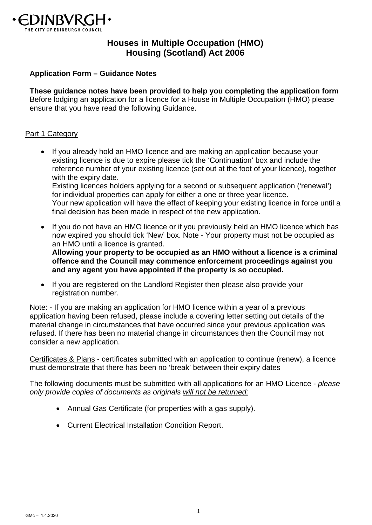

# **Houses in Multiple Occupation (HMO) Housing (Scotland) Act 2006**

#### **Application Form – Guidance Notes**

**These guidance notes have been provided to help you completing the application form**  Before lodging an application for a licence for a House in Multiple Occupation (HMO) please ensure that you have read the following Guidance.

#### Part 1 Category

- If you already hold an HMO licence and are making an application because your existing licence is due to expire please tick the 'Continuation' box and include the reference number of your existing licence (set out at the foot of your licence), together with the expiry date. Existing licences holders applying for a second or subsequent application ('renewal') for individual properties can apply for either a one or three year licence. Your new application will have the effect of keeping your existing licence in force until a final decision has been made in respect of the new application.
- If you do not have an HMO licence or if you previously held an HMO licence which has now expired you should tick 'New' box. Note - Your property must not be occupied as an HMO until a licence is granted.

**Allowing your property to be occupied as an HMO without a licence is a criminal offence and the Council may commence enforcement proceedings against you and any agent you have appointed if the property is so occupied.**

 If you are registered on the Landlord Register then please also provide your registration number.

Note: - If you are making an application for HMO licence within a year of a previous application having been refused, please include a covering letter setting out details of the material change in circumstances that have occurred since your previous application was refused. If there has been no material change in circumstances then the Council may not consider a new application.

Certificates & Plans - certificates submitted with an application to continue (renew), a licence must demonstrate that there has been no 'break' between their expiry dates

The following documents must be submitted with all applications for an HMO Licence - *please only provide copies of documents as originals will not be returned:*

- Annual Gas Certificate (for properties with a gas supply).
- Current Electrical Installation Condition Report.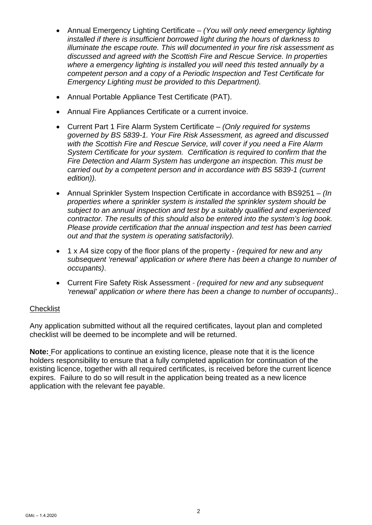- Annual Emergency Lighting Certificate  *(You will only need emergency lighting installed if there is insufficient borrowed light during the hours of darkness to illuminate the escape route. This will documented in your fire risk assessment as discussed and agreed with the Scottish Fire and Rescue Service. In properties where a emergency lighting is installed you will need this tested annually by a competent person and a copy of a Periodic Inspection and Test Certificate for Emergency Lighting must be provided to this Department).*
- Annual Portable Appliance Test Certificate (PAT).
- Annual Fire Appliances Certificate or a current invoice.
- Current Part 1 Fire Alarm System Certificate *(Only required for systems governed by BS 5839-1. Your Fire Risk Assessment, as agreed and discussed with the Scottish Fire and Rescue Service, will cover if you need a Fire Alarm System Certificate for your system. Certification is required to confirm that the Fire Detection and Alarm System has undergone an inspection. This must be carried out by a competent person and in accordance with BS 5839-1 (current edition)).*
- Annual Sprinkler System Inspection Certificate in accordance with BS9251 *(In properties where a sprinkler system is installed the sprinkler system should be subject to an annual inspection and test by a suitably qualified and experienced contractor. The results of this should also be entered into the system's log book. Please provide certification that the annual inspection and test has been carried out and that the system is operating satisfactorily).*
- 1 x A4 size copy of the floor plans of the property *(required for new and any subsequent 'renewal' application or where there has been a change to number of occupants)*.
- Current Fire Safety Risk Assessment *(required for new and any subsequent 'renewal' application or where there has been a change to number of occupants)*..

### **Checklist**

Any application submitted without all the required certificates, layout plan and completed checklist will be deemed to be incomplete and will be returned.

**Note:** For applications to continue an existing licence, please note that it is the licence holders responsibility to ensure that a fully completed application for continuation of the existing licence, together with all required certificates, is received before the current licence expires. Failure to do so will result in the application being treated as a new licence application with the relevant fee payable.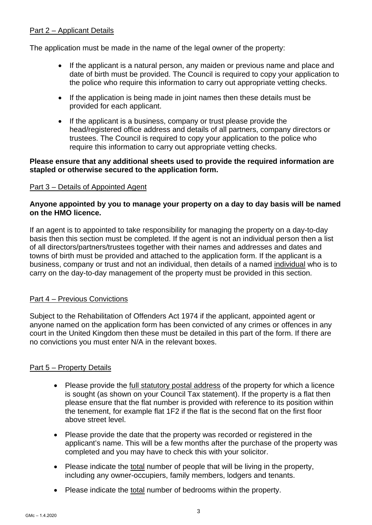### Part 2 – Applicant Details

The application must be made in the name of the legal owner of the property:

- If the applicant is a natural person, any maiden or previous name and place and date of birth must be provided. The Council is required to copy your application to the police who require this information to carry out appropriate vetting checks.
- If the application is being made in joint names then these details must be provided for each applicant.
- If the applicant is a business, company or trust please provide the head/registered office address and details of all partners, company directors or trustees. The Council is required to copy your application to the police who require this information to carry out appropriate vetting checks.

### **Please ensure that any additional sheets used to provide the required information are stapled or otherwise secured to the application form.**

### Part 3 – Details of Appointed Agent

### **Anyone appointed by you to manage your property on a day to day basis will be named on the HMO licence.**

If an agent is to appointed to take responsibility for managing the property on a day-to-day basis then this section must be completed. If the agent is not an individual person then a list of all directors/partners/trustees together with their names and addresses and dates and towns of birth must be provided and attached to the application form. If the applicant is a business, company or trust and not an individual, then details of a named individual who is to carry on the day-to-day management of the property must be provided in this section.

## Part 4 – Previous Convictions

Subject to the Rehabilitation of Offenders Act 1974 if the applicant, appointed agent or anyone named on the application form has been convicted of any crimes or offences in any court in the United Kingdom then these must be detailed in this part of the form. If there are no convictions you must enter N/A in the relevant boxes.

### Part 5 – Property Details

- Please provide the full statutory postal address of the property for which a licence is sought (as shown on your Council Tax statement). If the property is a flat then please ensure that the flat number is provided with reference to its position within the tenement, for example flat 1F2 if the flat is the second flat on the first floor above street level.
- Please provide the date that the property was recorded or registered in the applicant's name. This will be a few months after the purchase of the property was completed and you may have to check this with your solicitor.
- Please indicate the total number of people that will be living in the property, including any owner-occupiers, family members, lodgers and tenants.
- Please indicate the total number of bedrooms within the property.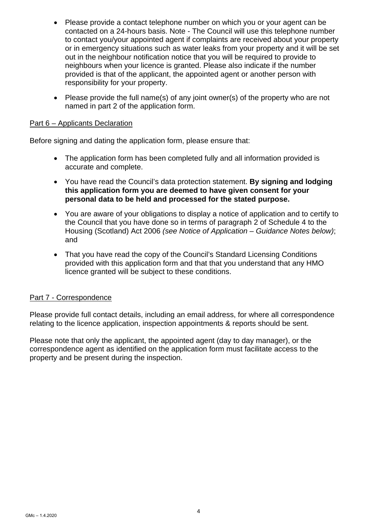- Please provide a contact telephone number on which you or your agent can be contacted on a 24-hours basis. Note - The Council will use this telephone number to contact you/your appointed agent if complaints are received about your property or in emergency situations such as water leaks from your property and it will be set out in the neighbour notification notice that you will be required to provide to neighbours when your licence is granted. Please also indicate if the number provided is that of the applicant, the appointed agent or another person with responsibility for your property.
- Please provide the full name(s) of any joint owner(s) of the property who are not named in part 2 of the application form.

### Part 6 – Applicants Declaration

Before signing and dating the application form, please ensure that:

- The application form has been completed fully and all information provided is accurate and complete.
- You have read the Council's data protection statement. **By signing and lodging this application form you are deemed to have given consent for your personal data to be held and processed for the stated purpose.**
- You are aware of your obligations to display a notice of application and to certify to the Council that you have done so in terms of paragraph 2 of Schedule 4 to the Housing (Scotland) Act 2006 *(see Notice of Application – Guidance Notes below)*; and
- That you have read the copy of the Council's Standard Licensing Conditions provided with this application form and that that you understand that any HMO licence granted will be subject to these conditions.

### Part 7 - Correspondence

Please provide full contact details, including an email address, for where all correspondence relating to the licence application, inspection appointments & reports should be sent.

Please note that only the applicant, the appointed agent (day to day manager), or the correspondence agent as identified on the application form must facilitate access to the property and be present during the inspection.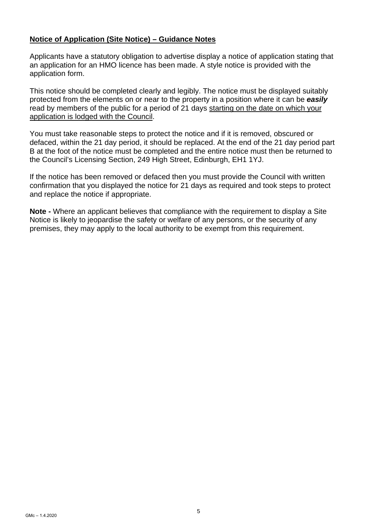### **Notice of Application (Site Notice) – Guidance Notes**

Applicants have a statutory obligation to advertise display a notice of application stating that an application for an HMO licence has been made. A style notice is provided with the application form.

This notice should be completed clearly and legibly. The notice must be displayed suitably protected from the elements on or near to the property in a position where it can be *easily* read by members of the public for a period of 21 days starting on the date on which your application is lodged with the Council.

You must take reasonable steps to protect the notice and if it is removed, obscured or defaced, within the 21 day period, it should be replaced. At the end of the 21 day period part B at the foot of the notice must be completed and the entire notice must then be returned to the Council's Licensing Section, 249 High Street, Edinburgh, EH1 1YJ.

If the notice has been removed or defaced then you must provide the Council with written confirmation that you displayed the notice for 21 days as required and took steps to protect and replace the notice if appropriate.

**Note -** Where an applicant believes that compliance with the requirement to display a Site Notice is likely to jeopardise the safety or welfare of any persons, or the security of any premises, they may apply to the local authority to be exempt from this requirement.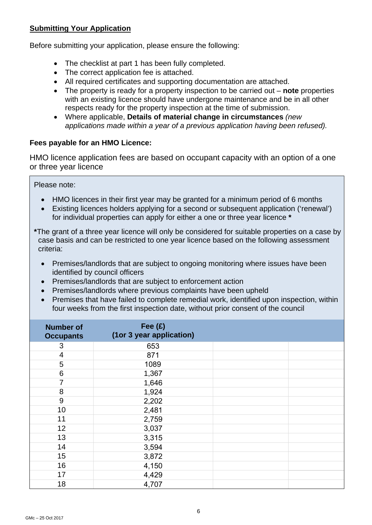## **Submitting Your Application**

Before submitting your application, please ensure the following:

- The checklist at part 1 has been fully completed.
- The correct application fee is attached.
- All required certificates and supporting documentation are attached.
- The property is ready for a property inspection to be carried out **note** properties with an existing licence should have undergone maintenance and be in all other respects ready for the property inspection at the time of submission.
- Where applicable, **Details of material change in circumstances** *(new applications made within a year of a previous application having been refused).*

## **Fees payable for an HMO Licence:**

HMO licence application fees are based on occupant capacity with an option of a one or three year licence

Please note:

- HMO licences in their first year may be granted for a minimum period of 6 months
- Existing licences holders applying for a second or subsequent application ('renewal') for individual properties can apply for either a one or three year licence **\***

**\***The grant of a three year licence will only be considered for suitable properties on a case by case basis and can be restricted to one year licence based on the following assessment criteria:

- Premises/landlords that are subject to ongoing monitoring where issues have been identified by council officers
- Premises/landlords that are subject to enforcement action
- Premises/landlords where previous complaints have been upheld
- Premises that have failed to complete remedial work, identified upon inspection, within four weeks from the first inspection date, without prior consent of the council

| <b>Number of</b><br><b>Occupants</b> | Fee $(E)$<br>(1or 3 year application) |  |
|--------------------------------------|---------------------------------------|--|
| 3                                    | 653                                   |  |
| $\overline{4}$                       | 871                                   |  |
| 5                                    | 1089                                  |  |
| 6                                    | 1,367                                 |  |
| $\overline{7}$                       | 1,646                                 |  |
| 8                                    | 1,924                                 |  |
| 9                                    | 2,202                                 |  |
| 10                                   | 2,481                                 |  |
| 11                                   | 2,759                                 |  |
| 12                                   | 3,037                                 |  |
| 13                                   | 3,315                                 |  |
| 14                                   | 3,594                                 |  |
| 15                                   | 3,872                                 |  |
| 16                                   | 4,150                                 |  |
| 17                                   | 4,429                                 |  |
| 18                                   | 4,707                                 |  |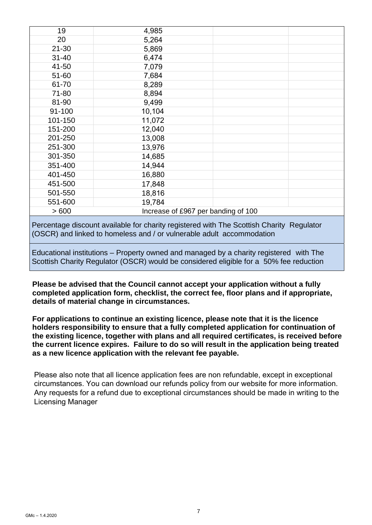| 19        | 4,985  |                                     |  |
|-----------|--------|-------------------------------------|--|
| 20        | 5,264  |                                     |  |
| $21 - 30$ | 5,869  |                                     |  |
| $31 - 40$ | 6,474  |                                     |  |
| 41-50     | 7,079  |                                     |  |
| 51-60     | 7,684  |                                     |  |
| 61-70     | 8,289  |                                     |  |
| 71-80     | 8,894  |                                     |  |
| 81-90     | 9,499  |                                     |  |
| 91-100    | 10,104 |                                     |  |
| 101-150   | 11,072 |                                     |  |
| 151-200   | 12,040 |                                     |  |
| 201-250   | 13,008 |                                     |  |
| 251-300   | 13,976 |                                     |  |
| 301-350   | 14,685 |                                     |  |
| 351-400   | 14,944 |                                     |  |
| 401-450   | 16,880 |                                     |  |
| 451-500   | 17,848 |                                     |  |
| 501-550   | 18,816 |                                     |  |
| 551-600   | 19,784 |                                     |  |
| >600      |        | Increase of £967 per banding of 100 |  |
|           |        |                                     |  |

 Percentage discount available for charity registered with The Scottish Charity Regulator (OSCR) and linked to homeless and / or vulnerable adult accommodation

 Educational institutions – Property owned and managed by a charity registered with The Scottish Charity Regulator (OSCR) would be considered eligible for a 50% fee reduction

**Please be advised that the Council cannot accept your application without a fully completed application form, checklist, the correct fee, floor plans and if appropriate, details of material change in circumstances.** 

**For applications to continue an existing licence, please note that it is the licence holders responsibility to ensure that a fully completed application for continuation of the existing licence, together with plans and all required certificates, is received before the current licence expires. Failure to do so will result in the application being treated as a new licence application with the relevant fee payable.** 

Please also note that all licence application fees are non refundable, except in exceptional circumstances. You can download our refunds policy from our website for more information. Any requests for a refund due to exceptional circumstances should be made in writing to the Licensing Manager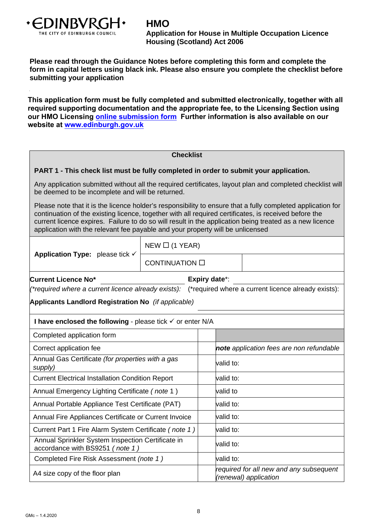

# **HMO**

**Application for House in Multiple Occupation Licence Housing (Scotland) Act 2006** 

**Please read through the Guidance Notes before completing this form and complete the form in capital letters using black ink. Please also ensure you complete the checklist before submitting your application** 

**This application form must be fully completed and submitted electronically, together with all required supporting documentation and the appropriate fee, to the Licensing Section using our HMO Licensing [online submission form](https://www.edinburgh.gov.uk/licences-permits/licences-permits-applications/8?documentId=12524&categoryId=20023) Further information is also available on our website at [www.edinburgh.gov.uk](https://www.edinburgh.gov.uk/)**

#### **Checklist**

#### **PART 1 - This check list must be fully completed in order to submit your application.**

Any application submitted without all the required certificates, layout plan and completed checklist will be deemed to be incomplete and will be returned.

Please note that it is the licence holder's responsibility to ensure that a fully completed application for continuation of the existing licence, together with all required certificates, is received before the current licence expires. Failure to do so will result in the application being treated as a new licence application with the relevant fee payable and your property will be unlicensed

|                                                                                      | $NEW \square$ (1 YEAR) |                      |                                                                  |  |  |
|--------------------------------------------------------------------------------------|------------------------|----------------------|------------------------------------------------------------------|--|--|
| Application Type: please tick $\checkmark$                                           | CONTINUATION O         |                      |                                                                  |  |  |
| <b>Current Licence No*</b>                                                           |                        | <b>Expiry date*:</b> |                                                                  |  |  |
| (*required where a current licence already exists):                                  |                        |                      | (*required where a current licence already exists):              |  |  |
| Applicants Landlord Registration No (if applicable)                                  |                        |                      |                                                                  |  |  |
| I have enclosed the following - please tick $\checkmark$ or enter N/A                |                        |                      |                                                                  |  |  |
| Completed application form                                                           |                        |                      |                                                                  |  |  |
| Correct application fee                                                              |                        |                      | note application fees are non refundable                         |  |  |
| Annual Gas Certificate (for properties with a gas<br>supply)                         |                        |                      | valid to:                                                        |  |  |
| <b>Current Electrical Installation Condition Report</b>                              |                        |                      | valid to:                                                        |  |  |
| Annual Emergency Lighting Certificate (note 1)                                       |                        |                      | valid to                                                         |  |  |
| Annual Portable Appliance Test Certificate (PAT)                                     |                        |                      | valid to:                                                        |  |  |
| Annual Fire Appliances Certificate or Current Invoice                                |                        |                      | valid to:                                                        |  |  |
| Current Part 1 Fire Alarm System Certificate (note 1)                                |                        |                      | valid to:                                                        |  |  |
| Annual Sprinkler System Inspection Certificate in<br>accordance with BS9251 (note 1) |                        | valid to:            |                                                                  |  |  |
| Completed Fire Risk Assessment (note 1)                                              |                        |                      | valid to:                                                        |  |  |
| A4 size copy of the floor plan                                                       |                        |                      | required for all new and any subsequent<br>(renewal) application |  |  |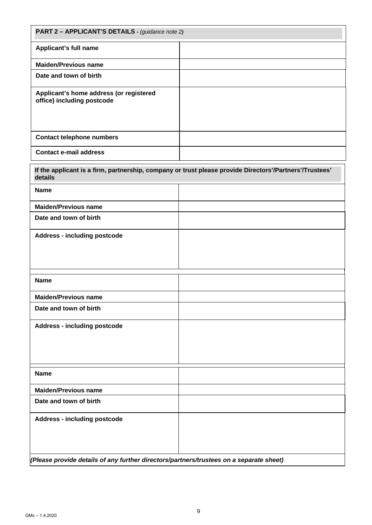| PART 2 - APPLICANT'S DETAILS - (guidance note 2)                                                        |  |  |
|---------------------------------------------------------------------------------------------------------|--|--|
| Applicant's full name                                                                                   |  |  |
| <b>Maiden/Previous name</b>                                                                             |  |  |
| Date and town of birth                                                                                  |  |  |
| Applicant's home address (or registered<br>office) including postcode                                   |  |  |
| <b>Contact telephone numbers</b>                                                                        |  |  |
| <b>Contact e-mail address</b>                                                                           |  |  |
| If the applicant is a firm, partnership, company or trust please provide Directors'/Partners'/Trustees' |  |  |

| $p$ -productor antihi, parallel ship, sempany or a doc picase provide Directors $\mu$ arabis $\mu$ is<br>details |  |  |
|------------------------------------------------------------------------------------------------------------------|--|--|
| <b>Name</b>                                                                                                      |  |  |
| <b>Maiden/Previous name</b>                                                                                      |  |  |
| Date and town of birth                                                                                           |  |  |
| <b>Address - including postcode</b>                                                                              |  |  |
|                                                                                                                  |  |  |
|                                                                                                                  |  |  |
|                                                                                                                  |  |  |
| <b>Name</b>                                                                                                      |  |  |
| <b>Maiden/Previous name</b>                                                                                      |  |  |
| Date and town of birth                                                                                           |  |  |
| <b>Address - including postcode</b>                                                                              |  |  |
|                                                                                                                  |  |  |
|                                                                                                                  |  |  |
|                                                                                                                  |  |  |
| <b>Name</b>                                                                                                      |  |  |
| <b>Maiden/Previous name</b>                                                                                      |  |  |
| Date and town of birth                                                                                           |  |  |
| <b>Address - including postcode</b>                                                                              |  |  |
|                                                                                                                  |  |  |
|                                                                                                                  |  |  |
| (Please provide details of any further directors/partners/trustees on a separate sheet)                          |  |  |

*(Please provide details of any further directors/partners/trustees on a separate sheet)*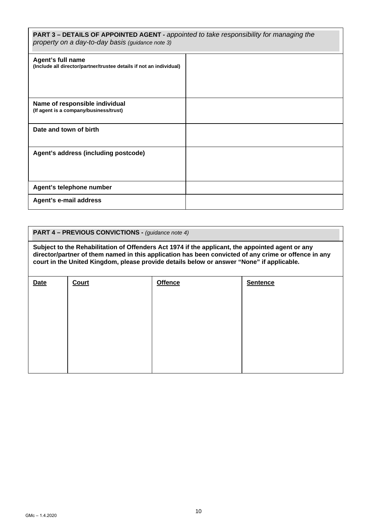| <b>PART 3 – DETAILS OF APPOINTED AGENT - appointed to take responsibility for managing the</b><br>property on a day-to-day basis (guidance note 3) |  |  |
|----------------------------------------------------------------------------------------------------------------------------------------------------|--|--|
| Agent's full name<br>(Include all director/partner/trustee details if not an individual)                                                           |  |  |
| Name of responsible individual<br>(If agent is a company/business/trust)                                                                           |  |  |
| Date and town of birth                                                                                                                             |  |  |
| Agent's address (including postcode)                                                                                                               |  |  |
| Agent's telephone number                                                                                                                           |  |  |
| Agent's e-mail address                                                                                                                             |  |  |

#### **PART 4 – PREVIOUS CONVICTIONS -** *(guidance note 4)*

**Subject to the Rehabilitation of Offenders Act 1974 if the applicant, the appointed agent or any director/partner of them named in this application has been convicted of any crime or offence in any court in the United Kingdom, please provide details below or answer "None" if applicable.** 

| <b>Date</b> | Court | <b>Offence</b> | <b>Sentence</b> |
|-------------|-------|----------------|-----------------|
|             |       |                |                 |
|             |       |                |                 |
|             |       |                |                 |
|             |       |                |                 |
|             |       |                |                 |
|             |       |                |                 |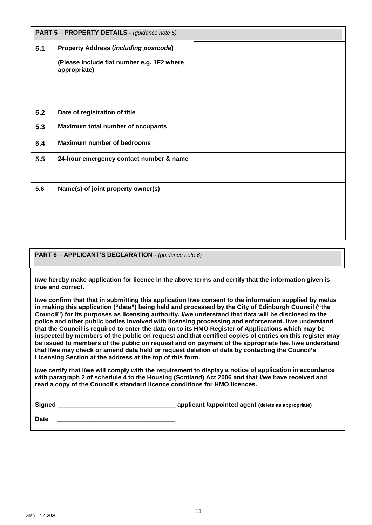|     | PART 5 - PROPERTY DETAILS - (guidance note 5)              |  |  |
|-----|------------------------------------------------------------|--|--|
| 5.1 | <b>Property Address (including postcode)</b>               |  |  |
|     | (Please include flat number e.g. 1F2 where<br>appropriate) |  |  |
|     |                                                            |  |  |
| 5.2 | Date of registration of title                              |  |  |
| 5.3 | Maximum total number of occupants                          |  |  |
| 5.4 | <b>Maximum number of bedrooms</b>                          |  |  |
| 5.5 | 24-hour emergency contact number & name                    |  |  |
| 5.6 | Name(s) of joint property owner(s)                         |  |  |

#### **PART 6 – APPLICANT'S DECLARATION -** *(guidance note 6)*

**I/we hereby make application for licence in the above terms and certify that the information given is true and correct.** 

**I/we confirm that that in submitting this application I/we consent to the information supplied by me/us in making this application ("data") being held and processed by the City of Edinburgh Council ("the Council") for its purposes as licensing authority. I/we understand that data will be disclosed to the police and other public bodies involved with licensing processing and enforcement. I/we understand that the Council is required to enter the data on to its HMO Register of Applications which may be inspected by members of the public on request and that certified copies of entries on this register may be issued to members of the public on request and on payment of the appropriate fee. I/we understand that I/we may check or amend data held or request deletion of data by contacting the Council's Licensing Section at the address at the top of this form.** 

**I/we certify that I/we will comply with the requirement to display a notice of application in accordance with paragraph 2 of schedule 4 to the Housing (Scotland) Act 2006 and that I/we have received and read a copy of the Council's standard licence conditions for HMO licences.** 

**Signed \_\_\_\_\_\_\_\_\_\_\_\_\_\_\_\_\_\_\_\_\_\_\_\_\_\_\_\_\_\_\_\_\_\_ applicant /appointed agent (delete as appropriate)**

**Date \_\_\_\_\_\_\_\_\_\_\_\_\_\_\_\_\_\_\_\_\_\_\_\_\_\_\_\_\_\_\_\_\_\_**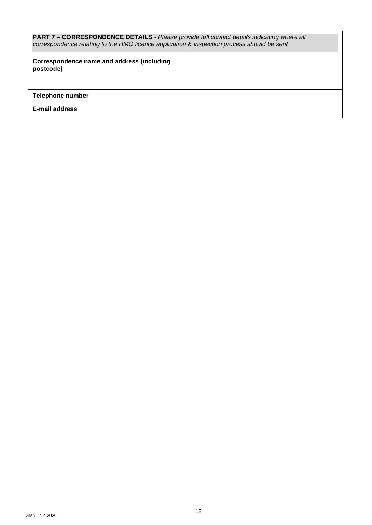| <b>PART 7 - CORRESPONDENCE DETAILS</b> - Please provide full contact details indicating where all<br>correspondence relating to the HMO licence application & inspection process should be sent |  |  |
|-------------------------------------------------------------------------------------------------------------------------------------------------------------------------------------------------|--|--|
| Correspondence name and address (including<br>postcode)                                                                                                                                         |  |  |
| Telephone number                                                                                                                                                                                |  |  |
| E-mail address                                                                                                                                                                                  |  |  |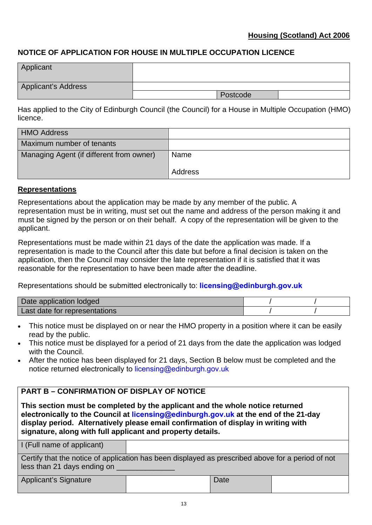### **NOTICE OF APPLICATION FOR HOUSE IN MULTIPLE OCCUPATION LICENCE**

| Applicant           |          |
|---------------------|----------|
| Applicant's Address |          |
|                     | Postcode |

Has applied to the City of Edinburgh Council (the Council) for a House in Multiple Occupation (HMO) licence.

| <b>HMO Address</b>                       |         |
|------------------------------------------|---------|
| Maximum number of tenants                |         |
| Managing Agent (if different from owner) | Name    |
|                                          | Address |

### **Representations**

Representations about the application may be made by any member of the public. A representation must be in writing, must set out the name and address of the person making it and must be signed by the person or on their behalf. A copy of the representation will be given to the applicant.

Representations must be made within 21 days of the date the application was made. If a representation is made to the Council after this date but before a final decision is taken on the application, then the Council may consider the late representation if it is satisfied that it was reasonable for the representation to have been made after the deadline.

Representations should be submitted electronically to: **licensing@edinburgh.gov.uk**

| Date application lodged       |  |
|-------------------------------|--|
| Last date for representations |  |

- This notice must be displayed on or near the HMO property in a position where it can be easily read by the public.
- This notice must be displayed for a period of 21 days from the date the application was lodged with the Council.
- After the notice has been displayed for 21 days, Section B below must be completed and the notice returned electronically to licensing@edinburgh.gov.uk

## **PART B – CONFIRMATION OF DISPLAY OF NOTICE**

**This section must be completed by the applicant and the whole notice returned electronically to the Council at licensing@edinburgh.gov.uk at the end of the 21-day display period. Alternatively please email confirmation of display in writing with signature, along with full applicant and property details.** 

I (Full name of applicant) Certify that the notice of application has been displayed as prescribed above for a period of not less than 21 days ending on

Applicant's Signature **Date**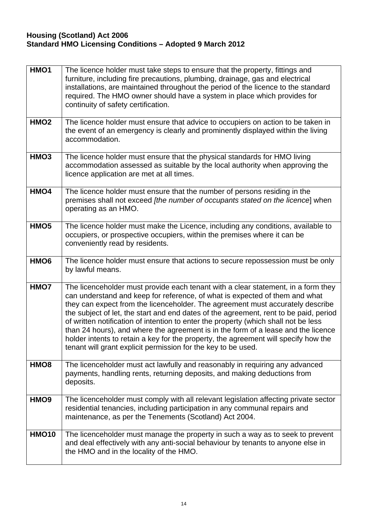### **Housing (Scotland) Act 2006 Standard HMO Licensing Conditions – Adopted 9 March 2012**

| HMO1             | The licence holder must take steps to ensure that the property, fittings and<br>furniture, including fire precautions, plumbing, drainage, gas and electrical<br>installations, are maintained throughout the period of the licence to the standard<br>required. The HMO owner should have a system in place which provides for<br>continuity of safety certification.                                                                                                                                                                                                                                                                                                          |
|------------------|---------------------------------------------------------------------------------------------------------------------------------------------------------------------------------------------------------------------------------------------------------------------------------------------------------------------------------------------------------------------------------------------------------------------------------------------------------------------------------------------------------------------------------------------------------------------------------------------------------------------------------------------------------------------------------|
| HMO <sub>2</sub> | The licence holder must ensure that advice to occupiers on action to be taken in<br>the event of an emergency is clearly and prominently displayed within the living<br>accommodation.                                                                                                                                                                                                                                                                                                                                                                                                                                                                                          |
| HMO <sub>3</sub> | The licence holder must ensure that the physical standards for HMO living<br>accommodation assessed as suitable by the local authority when approving the<br>licence application are met at all times.                                                                                                                                                                                                                                                                                                                                                                                                                                                                          |
| HMO4             | The licence holder must ensure that the number of persons residing in the<br>premises shall not exceed [the number of occupants stated on the licence] when<br>operating as an HMO.                                                                                                                                                                                                                                                                                                                                                                                                                                                                                             |
| HMO <sub>5</sub> | The licence holder must make the Licence, including any conditions, available to<br>occupiers, or prospective occupiers, within the premises where it can be<br>conveniently read by residents.                                                                                                                                                                                                                                                                                                                                                                                                                                                                                 |
| HMO <sub>6</sub> | The licence holder must ensure that actions to secure repossession must be only<br>by lawful means.                                                                                                                                                                                                                                                                                                                                                                                                                                                                                                                                                                             |
| HMO7             | The licenceholder must provide each tenant with a clear statement, in a form they<br>can understand and keep for reference, of what is expected of them and what<br>they can expect from the licenceholder. The agreement must accurately describe<br>the subject of let, the start and end dates of the agreement, rent to be paid, period<br>of written notification of intention to enter the property (which shall not be less<br>than 24 hours), and where the agreement is in the form of a lease and the licence<br>holder intents to retain a key for the property, the agreement will specify how the<br>tenant will grant explicit permission for the key to be used. |
| HMO <sub>8</sub> | The licenceholder must act lawfully and reasonably in requiring any advanced<br>payments, handling rents, returning deposits, and making deductions from<br>deposits.                                                                                                                                                                                                                                                                                                                                                                                                                                                                                                           |
| HMO <sub>9</sub> | The licenceholder must comply with all relevant legislation affecting private sector<br>residential tenancies, including participation in any communal repairs and<br>maintenance, as per the Tenements (Scotland) Act 2004.                                                                                                                                                                                                                                                                                                                                                                                                                                                    |
| <b>HMO10</b>     | The licenceholder must manage the property in such a way as to seek to prevent<br>and deal effectively with any anti-social behaviour by tenants to anyone else in<br>the HMO and in the locality of the HMO.                                                                                                                                                                                                                                                                                                                                                                                                                                                                   |